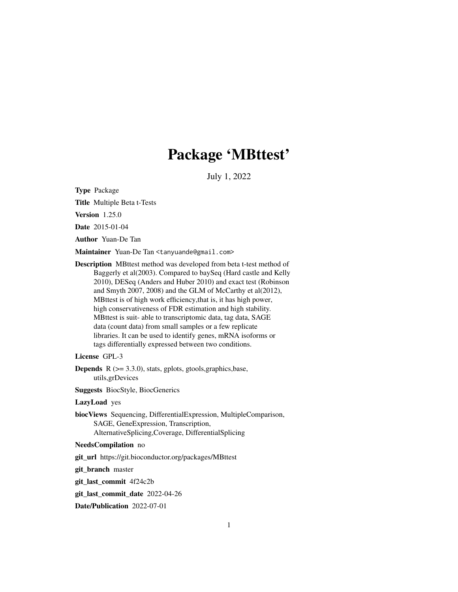# Package 'MBttest'

July 1, 2022

<span id="page-0-0"></span>Type Package

Title Multiple Beta t-Tests

Version 1.25.0

Date 2015-01-04

Author Yuan-De Tan

Maintainer Yuan-De Tan <tanyuande@gmail.com>

Description MBttest method was developed from beta t-test method of Baggerly et al(2003). Compared to baySeq (Hard castle and Kelly 2010), DESeq (Anders and Huber 2010) and exact test (Robinson and Smyth 2007, 2008) and the GLM of McCarthy et al(2012), MBttest is of high work efficiency,that is, it has high power, high conservativeness of FDR estimation and high stability. MBttest is suit- able to transcriptomic data, tag data, SAGE data (count data) from small samples or a few replicate libraries. It can be used to identify genes, mRNA isoforms or tags differentially expressed between two conditions.

# License GPL-3

**Depends**  $R$  ( $>= 3.3.0$ ), stats, gplots, gtools, graphics, base, utils,grDevices

Suggests BiocStyle, BiocGenerics

# LazyLoad yes

biocViews Sequencing, DifferentialExpression, MultipleComparison, SAGE, GeneExpression, Transcription, AlternativeSplicing,Coverage, DifferentialSplicing

# NeedsCompilation no

git\_url https://git.bioconductor.org/packages/MBttest

git\_branch master

git\_last\_commit 4f24c2b

git\_last\_commit\_date 2022-04-26

Date/Publication 2022-07-01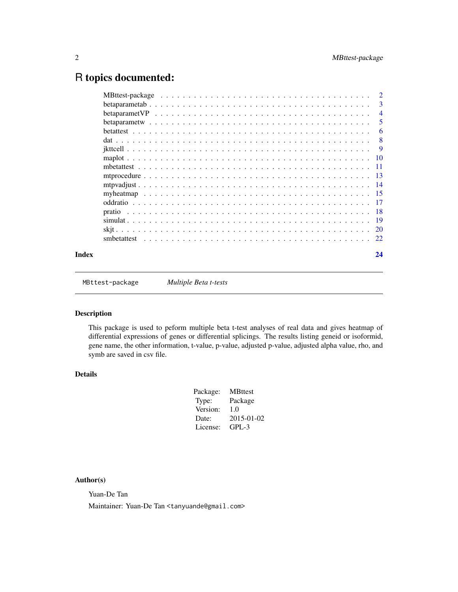# <span id="page-1-0"></span>R topics documented:

|       | -3             |
|-------|----------------|
|       | $\overline{4}$ |
|       | -5             |
|       | 6              |
|       |                |
|       |                |
|       |                |
|       |                |
|       |                |
|       |                |
|       |                |
|       |                |
|       |                |
|       |                |
|       |                |
|       |                |
| Index | 24             |

MBttest-package *Multiple Beta t-tests*

# Description

This package is used to peform multiple beta t-test analyses of real data and gives heatmap of differential expressions of genes or differential splicings. The results listing geneid or isoformid, gene name, the other information, t-value, p-value, adjusted p-value, adjusted alpha value, rho, and symb are saved in csv file.

# Details

| Package: | <b>MBttest</b> |
|----------|----------------|
| Type:    | Package        |
| Version: | 1.0            |
| Date:    | 2015-01-02     |
| License: | $GPI - 3$      |

# Author(s)

Yuan-De Tan

Maintainer: Yuan-De Tan <tanyuande@gmail.com>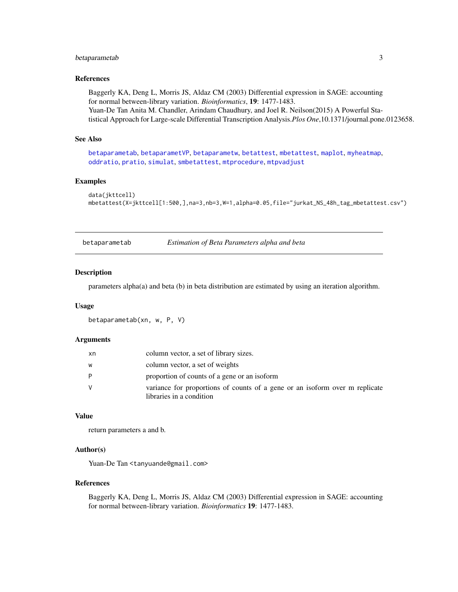# <span id="page-2-0"></span>betaparametab 3

# References

Baggerly KA, Deng L, Morris JS, Aldaz CM (2003) Differential expression in SAGE: accounting for normal between-library variation. *Bioinformatics*, 19: 1477-1483. Yuan-De Tan Anita M. Chandler, Arindam Chaudhury, and Joel R. Neilson(2015) A Powerful Statistical Approach for Large-scale Differential Transcription Analysis.*Plos One*,10.1371/journal.pone.0123658.

#### See Also

[betaparametab](#page-2-1), [betaparametVP](#page-3-1), [betaparametw](#page-4-1), [betattest](#page-5-1), [mbetattest](#page-10-1), [maplot](#page-9-1), [myheatmap](#page-14-1), [oddratio](#page-16-1), [pratio](#page-17-1), [simulat](#page-18-1), [smbetattest](#page-21-1), [mtprocedure](#page-12-1), [mtpvadjust](#page-13-1)

# **Examples**

```
data(jkttcell)
mbetattest(X=jkttcell[1:500,],na=3,nb=3,W=1,alpha=0.05,file="jurkat_NS_48h_tag_mbetattest.csv")
```
<span id="page-2-1"></span>

#### Description

parameters alpha(a) and beta (b) in beta distribution are estimated by using an iteration algorithm.

#### Usage

```
betaparametab(xn, w, P, V)
```
#### Arguments

| xn | column vector, a set of library sizes.                                                                  |
|----|---------------------------------------------------------------------------------------------------------|
| w  | column vector, a set of weights                                                                         |
| D  | proportion of counts of a gene or an isoform                                                            |
| V  | variance for proportions of counts of a gene or an isoform over m replicate<br>libraries in a condition |

#### Value

return parameters a and b.

#### Author(s)

Yuan-De Tan <tanyuande@gmail.com>

#### References

Baggerly KA, Deng L, Morris JS, Aldaz CM (2003) Differential expression in SAGE: accounting for normal between-library variation. *Bioinformatics* 19: 1477-1483.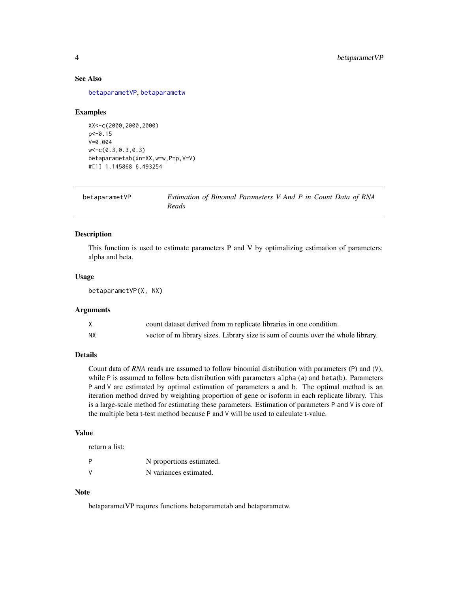# <span id="page-3-0"></span>See Also

[betaparametVP](#page-3-1), [betaparametw](#page-4-1)

#### Examples

```
XX<-c(2000,2000,2000)
p<-0.15
V=0.004
w<-c(0.3,0.3,0.3)
betaparametab(xn=XX,w=w,P=p,V=V)
#[1] 1.145868 6.493254
```
<span id="page-3-1"></span>

| betaparametVP | Estimation of Binomal Parameters V And P in Count Data of RNA |
|---------------|---------------------------------------------------------------|
|               | Reads                                                         |

# Description

This function is used to estimate parameters P and V by optimalizing estimation of parameters: alpha and beta.

#### Usage

betaparametVP(X, NX)

#### Arguments

|    | count dataset derived from m replicate libraries in one condition.               |
|----|----------------------------------------------------------------------------------|
| NΧ | vector of m library sizes. Library size is sum of counts over the whole library. |

# Details

Count data of *RNA* reads are assumed to follow binomial distribution with parameters (P) and (V), while P is assumed to follow beta distribution with parameters alpha (a) and beta(b). Parameters P and V are estimated by optimal estimation of parameters a and b. The optimal method is an iteration method drived by weighting proportion of gene or isoform in each replicate library. This is a large-scale method for estimating these parameters. Estimation of parameters P and V is core of the multiple beta t-test method because P and V will be used to calculate t-value.

# Value

return a list:

|               | N proportions estimated. |
|---------------|--------------------------|
| $\mathcal{N}$ | N variances estimated.   |

#### Note

betaparametVP requres functions betaparametab and betaparametw.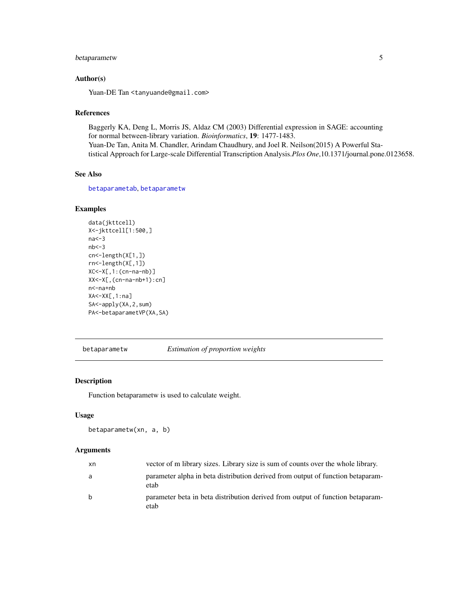# <span id="page-4-0"></span>betaparametw 5

# Author(s)

Yuan-DE Tan <tanyuande@gmail.com>

# References

Baggerly KA, Deng L, Morris JS, Aldaz CM (2003) Differential expression in SAGE: accounting for normal between-library variation. *Bioinformatics*, 19: 1477-1483. Yuan-De Tan, Anita M. Chandler, Arindam Chaudhury, and Joel R. Neilson(2015) A Powerful Statistical Approach for Large-scale Differential Transcription Analysis.*Plos One*,10.1371/journal.pone.0123658.

# See Also

[betaparametab](#page-2-1), [betaparametw](#page-4-1)

# Examples

```
data(jkttcell)
X<-jkttcell[1:500,]
na<-3
nb < -3cn<-length(X[1,])
rn<-length(X[,1])
XC<-X[,1:(cn-na-nb)]
XX<-X[,(cn-na-nb+1):cn]
n<-na+nb
XA<-XX[,1:na]
SA<-apply(XA,2,sum)
PA<-betaparametVP(XA,SA)
```
<span id="page-4-1"></span>betaparametw *Estimation of proportion weights*

# Description

Function betaparametw is used to calculate weight.

# Usage

```
betaparametw(xn, a, b)
```

| xn           | vector of m library sizes. Library size is sum of counts over the whole library.        |
|--------------|-----------------------------------------------------------------------------------------|
| a            | parameter alpha in beta distribution derived from output of function betaparam-<br>etab |
| <sub>b</sub> | parameter beta in beta distribution derived from output of function betaparam-<br>etab  |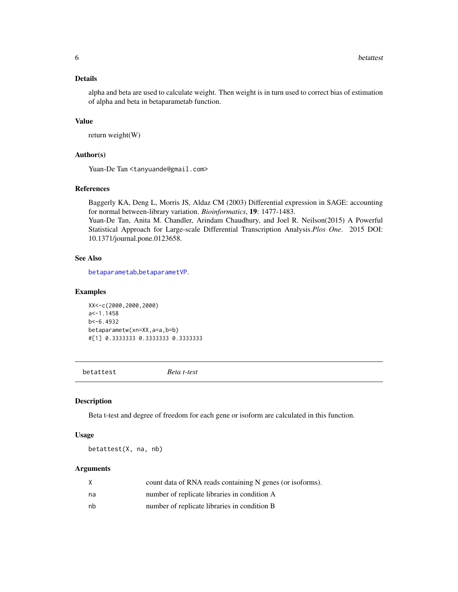<span id="page-5-0"></span>alpha and beta are used to calculate weight. Then weight is in turn used to correct bias of estimation of alpha and beta in betaparametab function.

#### Value

return weight(W)

#### Author(s)

Yuan-De Tan <tanyuande@gmail.com>

# References

Baggerly KA, Deng L, Morris JS, Aldaz CM (2003) Differential expression in SAGE: accounting for normal between-library variation. *Bioinformatics*, 19: 1477-1483. Yuan-De Tan, Anita M. Chandler, Arindam Chaudhury, and Joel R. Neilson(2015) A Powerful Statistical Approach for Large-scale Differential Transcription Analysis.*Plos One*. 2015 DOI: 10.1371/journal.pone.0123658.

# See Also

[betaparametab](#page-2-1),[betaparametVP](#page-3-1).

#### Examples

XX<-c(2000,2000,2000)  $a$  <-1.1458 b<-6.4932 betaparametw(xn=XX,a=a,b=b) #[1] 0.3333333 0.3333333 0.3333333

<span id="page-5-1"></span>betattest *Beta t-test*

#### Description

Beta t-test and degree of freedom for each gene or isoform are calculated in this function.

#### Usage

betattest(X, na, nb)

| X  | count data of RNA reads containing N genes (or isoforms). |
|----|-----------------------------------------------------------|
| na | number of replicate libraries in condition A              |
| nb | number of replicate libraries in condition B              |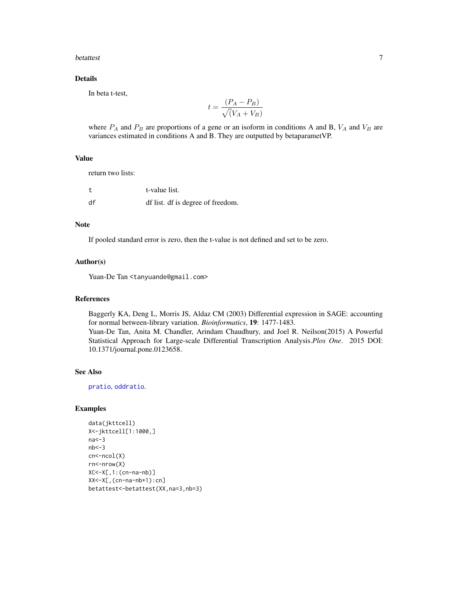#### <span id="page-6-0"></span>betattest 7

# Details

In beta t-test,

$$
t = \frac{(P_A - P_B)}{\sqrt{(V_A + V_B)}}
$$

where  $P_A$  and  $P_B$  are proportions of a gene or an isoform in conditions A and B,  $V_A$  and  $V_B$  are variances estimated in conditions A and B. They are outputted by betaparametVP.

# Value

return two lists:

|    | t-value list.                     |
|----|-----------------------------------|
| df | df list. df is degree of freedom. |

# Note

If pooled standard error is zero, then the t-value is not defined and set to be zero.

#### Author(s)

Yuan-De Tan <tanyuande@gmail.com>

#### References

Baggerly KA, Deng L, Morris JS, Aldaz CM (2003) Differential expression in SAGE: accounting for normal between-library variation. *Bioinformatics*, 19: 1477-1483. Yuan-De Tan, Anita M. Chandler, Arindam Chaudhury, and Joel R. Neilson(2015) A Powerful Statistical Approach for Large-scale Differential Transcription Analysis.*Plos One*. 2015 DOI: 10.1371/journal.pone.0123658.

# See Also

[pratio](#page-17-1), [oddratio](#page-16-1).

# Examples

```
data(jkttcell)
X<-jkttcell[1:1000,]
na<-3
nb < -3cn<-ncol(X)
rn<-nrow(X)
XC<-X[,1:(cn-na-nb)]
XX<-X[,(cn-na-nb+1):cn]
betattest<-betattest(XX,na=3,nb=3)
```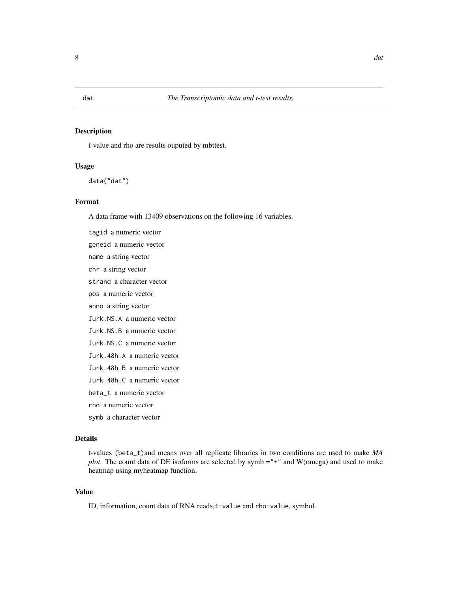# <span id="page-7-0"></span>Description

t-value and rho are results ouputed by mbttest.

#### Usage

data("dat")

# Format

A data frame with 13409 observations on the following 16 variables.

tagid a numeric vector geneid a numeric vector name a string vector chr a string vector strand a character vector pos a numeric vector anno a string vector Jurk.NS.A a numeric vector Jurk.NS.B a numeric vector Jurk.NS.C a numeric vector Jurk.48h.A a numeric vector Jurk.48h.B a numeric vector Jurk.48h.C a numeric vector beta\_t a numeric vector rho a numeric vector symb a character vector

#### Details

t-values (beta\_t)and means over all replicate libraries in two conditions are used to make *MA plot*. The count data of DE isoforms are selected by symb ="+" and W(omega) and used to make heatmap using myheatmap function.

#### Value

ID, information, count data of RNA reads, t-value and rho-value, symbol.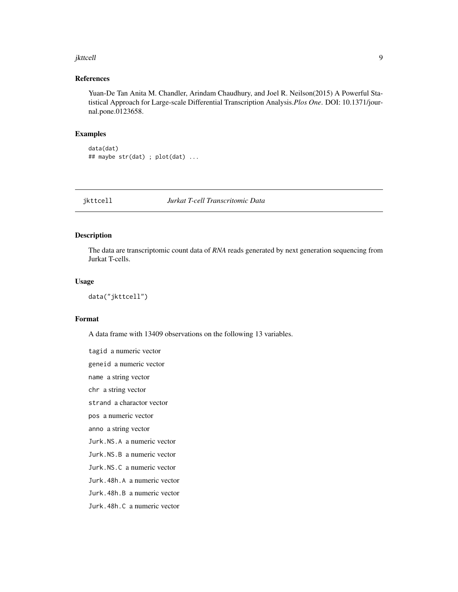#### <span id="page-8-0"></span>jkttcell 9

# References

Yuan-De Tan Anita M. Chandler, Arindam Chaudhury, and Joel R. Neilson(2015) A Powerful Statistical Approach for Large-scale Differential Transcription Analysis.*Plos One*. DOI: 10.1371/journal.pone.0123658.

#### Examples

```
data(dat)
## maybe str(dat) ; plot(dat) ...
```
jkttcell *Jurkat T-cell Transcritomic Data*

# Description

The data are transcriptomic count data of *RNA* reads generated by next generation sequencing from Jurkat T-cells.

#### Usage

data("jkttcell")

#### Format

A data frame with 13409 observations on the following 13 variables.

tagid a numeric vector geneid a numeric vector name a string vector chr a string vector strand a charactor vector pos a numeric vector anno a string vector Jurk.NS.A a numeric vector Jurk.NS.B a numeric vector Jurk.NS.C a numeric vector Jurk.48h.A a numeric vector Jurk.48h.B a numeric vector Jurk.48h.C a numeric vector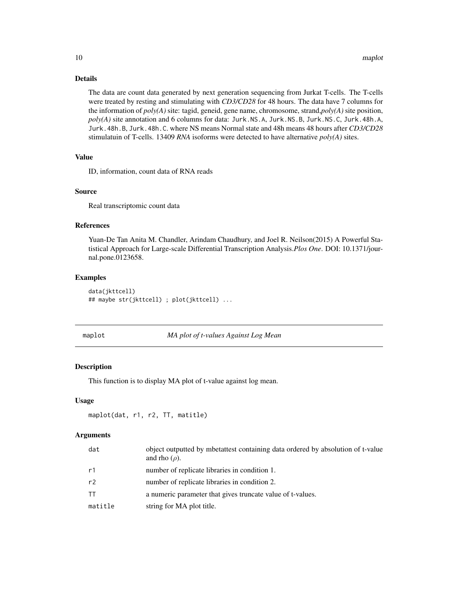The data are count data generated by next generation sequencing from Jurkat T-cells. The T-cells were treated by resting and stimulating with *CD3/CD28* for 48 hours. The data have 7 columns for the information of *poly(A)* site: tagid, geneid, gene name, chromosome, strand,*poly(A)* site position, *poly(A)* site annotation and 6 columns for data: Jurk.NS.A, Jurk.NS.B, Jurk.NS.C, Jurk.48h.A, Jurk.48h.B, Jurk.48h.C. where NS means Normal state and 48h means 48 hours after *CD3/CD28* stimulatuin of T-cells. 13409 *RNA* isoforms were detected to have alternative *poly(A)* sites.

# Value

ID, information, count data of RNA reads

#### Source

Real transcriptomic count data

# References

Yuan-De Tan Anita M. Chandler, Arindam Chaudhury, and Joel R. Neilson(2015) A Powerful Statistical Approach for Large-scale Differential Transcription Analysis.*Plos One*. DOI: 10.1371/journal.pone.0123658.

#### Examples

```
data(jkttcell)
## maybe str(jkttcell) ; plot(jkttcell) ...
```
<span id="page-9-1"></span>

maplot *MA plot of t-values Against Log Mean*

#### Description

This function is to display MA plot of t-value against log mean.

#### Usage

```
maplot(dat, r1, r2, TT, matitle)
```

| dat       | object outputted by mbetattest containing data ordered by absolution of t-value<br>and rho $(\rho)$ . |
|-----------|-------------------------------------------------------------------------------------------------------|
| r1        | number of replicate libraries in condition 1.                                                         |
| r2        | number of replicate libraries in condition 2.                                                         |
| <b>TT</b> | a numeric parameter that gives truncate value of t-values.                                            |
| matitle   | string for MA plot title.                                                                             |

<span id="page-9-0"></span>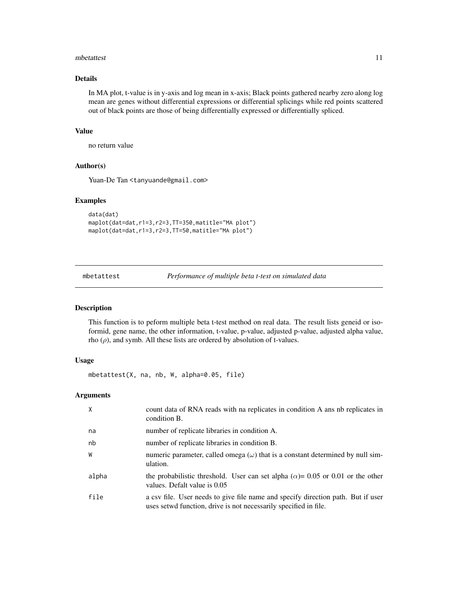#### <span id="page-10-0"></span>mbetattest 11

# Details

In MA plot, t-value is in y-axis and log mean in x-axis; Black points gathered nearby zero along log mean are genes without differential expressions or differential splicings while red points scattered out of black points are those of being differentially expressed or differentially spliced.

# Value

no return value

# Author(s)

Yuan-De Tan <tanyuande@gmail.com>

#### Examples

```
data(dat)
maplot(dat=dat,r1=3,r2=3,TT=350,matitle="MA plot")
maplot(dat=dat,r1=3,r2=3,TT=50,matitle="MA plot")
```
<span id="page-10-1"></span>mbetattest *Performance of multiple beta t-test on simulated data*

# Description

This function is to peform multiple beta t-test method on real data. The result lists geneid or isoformid, gene name, the other information, t-value, p-value, adjusted p-value, adjusted alpha value, rho  $(\rho)$ , and symb. All these lists are ordered by absolution of t-values.

# Usage

mbetattest(X, na, nb, W, alpha=0.05, file)

| $\mathsf{X}$ | count data of RNA reads with na replicates in condition A ans nb replicates in<br>condition B.                                                        |
|--------------|-------------------------------------------------------------------------------------------------------------------------------------------------------|
| na           | number of replicate libraries in condition A.                                                                                                         |
| nb           | number of replicate libraries in condition B.                                                                                                         |
| W            | numeric parameter, called omega $(\omega)$ that is a constant determined by null sim-<br>ulation.                                                     |
| alpha        | the probabilistic threshold. User can set alpha ( $\alpha$ )= 0.05 or 0.01 or the other<br>values. Defalt value is 0.05                               |
| file         | a csv file. User needs to give file name and specify direction path. But if user<br>uses set wd function, drive is not necessarily specified in file. |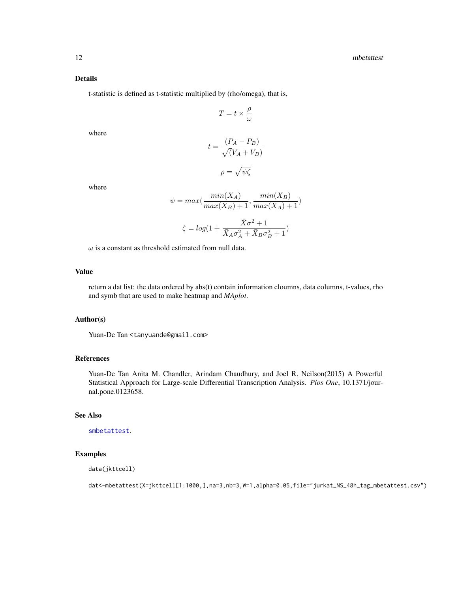<span id="page-11-0"></span>t-statistic is defined as t-statistic multiplied by (rho/omega), that is,

$$
T=t\times\frac{\rho}{\omega}
$$

where

$$
t = \frac{(P_A - P_B)}{\sqrt{(V_A + V_B)}}
$$

$$
\rho = \sqrt{\psi \zeta}
$$

where

$$
\psi = \max(\frac{\min(X_A)}{\max(X_B) + 1}, \frac{\min(X_B)}{\max(X_A) + 1})
$$

$$
\zeta = \log(1 + \frac{X\sigma^2 + 1}{\bar{X}_A \sigma_A^2 + \bar{X}_B \sigma_B^2 + 1})
$$

 $\omega$  is a constant as threshold estimated from null data.

# Value

return a dat list: the data ordered by abs(t) contain information cloumns, data columns, t-values, rho and symb that are used to make heatmap and *MAplot*.

#### Author(s)

Yuan-De Tan <tanyuande@gmail.com>

# References

Yuan-De Tan Anita M. Chandler, Arindam Chaudhury, and Joel R. Neilson(2015) A Powerful Statistical Approach for Large-scale Differential Transcription Analysis. *Plos One*, 10.1371/journal.pone.0123658.

# See Also

[smbetattest](#page-21-1).

#### Examples

```
data(jkttcell)
```
dat<-mbetattest(X=jkttcell[1:1000,],na=3,nb=3,W=1,alpha=0.05,file="jurkat\_NS\_48h\_tag\_mbetattest.csv")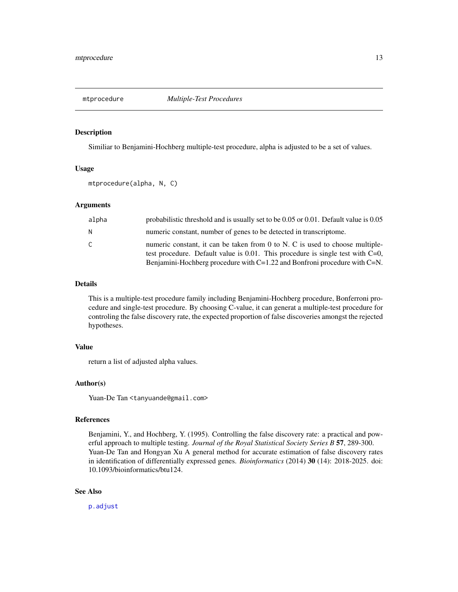<span id="page-12-1"></span><span id="page-12-0"></span>

#### Description

Similiar to Benjamini-Hochberg multiple-test procedure, alpha is adjusted to be a set of values.

# Usage

mtprocedure(alpha, N, C)

# Arguments

| alpha | probabilistic threshold and is usually set to be $0.05$ or $0.01$ . Default value is $0.05$                                                                                                                                                            |
|-------|--------------------------------------------------------------------------------------------------------------------------------------------------------------------------------------------------------------------------------------------------------|
| N.    | numeric constant, number of genes to be detected in transcriptome.                                                                                                                                                                                     |
| C     | numeric constant, it can be taken from 0 to N. C is used to choose multiple-<br>test procedure. Default value is $0.01$ . This procedure is single test with $C=0$ ,<br>Benjamini-Hochberg procedure with $C=1.22$ and Bonfroni procedure with $C=N$ . |

# Details

This is a multiple-test procedure family including Benjamini-Hochberg procedure, Bonferroni procedure and single-test procedure. By choosing C-value, it can generat a multiple-test procedure for controling the false discovery rate, the expected proportion of false discoveries amongst the rejected hypotheses.

#### Value

return a list of adjusted alpha values.

# Author(s)

Yuan-De Tan <tanyuande@gmail.com>

#### References

Benjamini, Y., and Hochberg, Y. (1995). Controlling the false discovery rate: a practical and powerful approach to multiple testing. *Journal of the Royal Statistical Society Series B* 57, 289-300. Yuan-De Tan and Hongyan Xu A general method for accurate estimation of false discovery rates in identification of differentially expressed genes. *Bioinformatics* (2014) 30 (14): 2018-2025. doi: 10.1093/bioinformatics/btu124.

# See Also

[p.adjust](#page-0-0)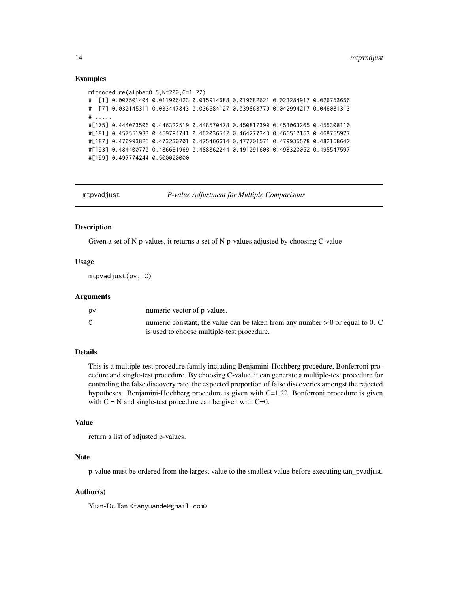# Examples

```
mtprocedure(alpha=0.5,N=200,C=1.22)
# [1] 0.007501404 0.011906423 0.015914688 0.019682621 0.023284917 0.026763656
# [7] 0.030145311 0.033447843 0.036684127 0.039863779 0.042994217 0.046081313
# .....
#[175] 0.444073506 0.446322519 0.448570478 0.450817390 0.453063265 0.455308110
#[181] 0.457551933 0.459794741 0.462036542 0.464277343 0.466517153 0.468755977
#[187] 0.470993825 0.473230701 0.475466614 0.477701571 0.479935578 0.482168642
#[193] 0.484400770 0.486631969 0.488862244 0.491091603 0.493320052 0.495547597
#[199] 0.497774244 0.500000000
```
<span id="page-13-1"></span>

mtpvadjust *P-value Adjustment for Multiple Comparisons*

#### **Description**

Given a set of N p-values, it returns a set of N p-values adjusted by choosing C-value

# Usage

mtpvadjust(pv, C)

# Arguments

| D٧     | numeric vector of p-values.                                                                                                   |
|--------|-------------------------------------------------------------------------------------------------------------------------------|
| $\sim$ | numeric constant, the value can be taken from any number $> 0$ or equal to 0. C<br>is used to choose multiple-test procedure. |

# Details

This is a multiple-test procedure family including Benjamini-Hochberg procedure, Bonferroni procedure and single-test procedure. By choosing C-value, it can generate a multiple-test procedure for controling the false discovery rate, the expected proportion of false discoveries amongst the rejected hypotheses. Benjamini-Hochberg procedure is given with C=1.22, Bonferroni procedure is given with  $C = N$  and single-test procedure can be given with  $C=0$ .

#### Value

return a list of adjusted p-values.

#### Note

p-value must be ordered from the largest value to the smallest value before executing tan\_pvadjust.

# Author(s)

Yuan-De Tan <tanyuande@gmail.com>

<span id="page-13-0"></span>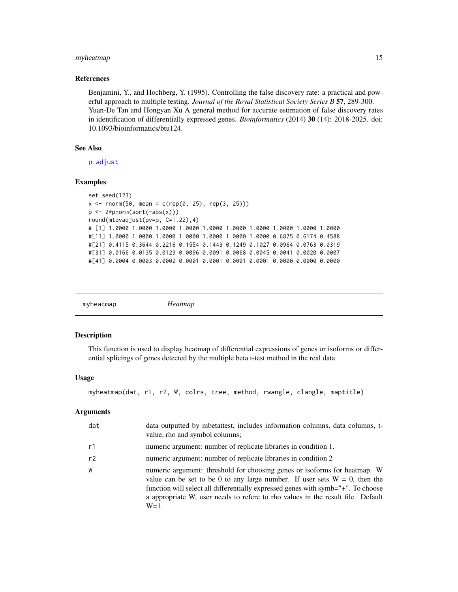# <span id="page-14-0"></span>myheatmap 15

#### References

Benjamini, Y., and Hochberg, Y. (1995). Controlling the false discovery rate: a practical and powerful approach to multiple testing. *Journal of the Royal Statistical Society Series B* 57, 289-300. Yuan-De Tan and Hongyan Xu A general method for accurate estimation of false discovery rates in identification of differentially expressed genes. *Bioinformatics* (2014) 30 (14): 2018-2025. doi: 10.1093/bioinformatics/btu124.

# See Also

[p.adjust](#page-0-0)

#### Examples

```
set.seed(123)
x \le rnorm(50, mean = c(rep(0, 25), rep(3, 25)))
p <- 2*pnorm(sort(-abs(x)))
round(mtpvadjust(pv=p, C=1.22),4)
# [1] 1.0000 1.0000 1.0000 1.0000 1.0000 1.0000 1.0000 1.0000 1.0000 1.0000
#[11] 1.0000 1.0000 1.0000 1.0000 1.0000 1.0000 1.0000 0.6875 0.6174 0.4588
#[21] 0.4115 0.3644 0.2216 0.1554 0.1443 0.1249 0.1027 0.0964 0.0763 0.0319
#[31] 0.0166 0.0135 0.0123 0.0096 0.0091 0.0068 0.0045 0.0041 0.0020 0.0007
#[41] 0.0004 0.0003 0.0002 0.0001 0.0001 0.0001 0.0001 0.0000 0.0000 0.0000
```
<span id="page-14-1"></span>

# Description

This function is used to display heatmap of differential expressions of genes or isoforms or differential splicings of genes detected by the multiple beta t-test method in the real data.

# Usage

```
myheatmap(dat, r1, r2, W, colrs, tree, method, rwangle, clangle, maptitle)
```

| dat | data outputted by mbetattest, includes information columns, data columns, t-<br>value, rho and symbol columns;                                                                                                                                                                                                                               |
|-----|----------------------------------------------------------------------------------------------------------------------------------------------------------------------------------------------------------------------------------------------------------------------------------------------------------------------------------------------|
| r1  | numeric argument: number of replicate libraries in condition 1.                                                                                                                                                                                                                                                                              |
| r2  | numeric argument: number of replicate libraries in condition 2                                                                                                                                                                                                                                                                               |
| W   | numeric argument: threshold for choosing genes or isoforms for heatmap. W<br>value can be set to be 0 to any large number. If user sets $W = 0$ , then the<br>function will select all differentially expressed genes with symb="+". To choose<br>a appropriate W, user needs to refere to rho values in the result file. Default<br>$W=1$ . |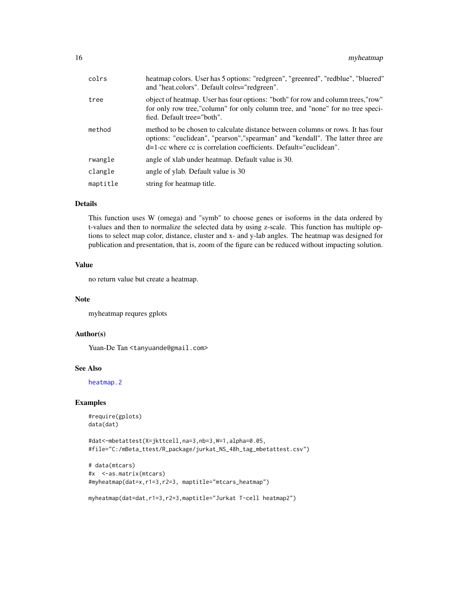<span id="page-15-0"></span>

| colrs    | heatmap colors. User has 5 options: "redgreen", "greenred", "redblue", "bluered"<br>and "heat.colors". Default colrs="redgreen".                                                                                                          |
|----------|-------------------------------------------------------------------------------------------------------------------------------------------------------------------------------------------------------------------------------------------|
| tree     | object of heatmap. User has four options: "both" for row and column trees, "row"<br>for only row tree,"column" for only column tree, and "none" for no tree speci-<br>fied. Default tree="both".                                          |
| method   | method to be chosen to calculate distance between columns or rows. It has four<br>options: "euclidean", "pearson", "spearman" and "kendall". The latter three are<br>$d=1$ -cc where cc is correlation coefficients. Default="euclidean". |
| rwangle  | angle of xlab under heatmap. Default value is 30.                                                                                                                                                                                         |
| clangle  | angle of ylab. Default value is 30                                                                                                                                                                                                        |
| maptitle | string for heatmap title.                                                                                                                                                                                                                 |
|          |                                                                                                                                                                                                                                           |

This function uses W (omega) and "symb" to choose genes or isoforms in the data ordered by t-values and then to normalize the selected data by using z-scale. This function has multiple options to select map color, distance, cluster and x- and y-lab angles. The heatmap was designed for publication and presentation, that is, zoom of the figure can be reduced without impacting solution.

# Value

no return value but create a heatmap.

#### Note

myheatmap requres gplots

# Author(s)

Yuan-De Tan <tanyuande@gmail.com>

# See Also

[heatmap.2](#page-0-0)

# Examples

```
#require(gplots)
data(dat)
```

```
#dat<-mbetattest(X=jkttcell,na=3,nb=3,W=1,alpha=0.05,
#file="C:/mBeta_ttest/R_package/jurkat_NS_48h_tag_mbetattest.csv")
```

```
# data(mtcars)
#x <-as.matrix(mtcars)
#myheatmap(dat=x,r1=3,r2=3, maptitle="mtcars_heatmap")
```

```
myheatmap(dat=dat,r1=3,r2=3,maptitle="Jurkat T-cell heatmap2")
```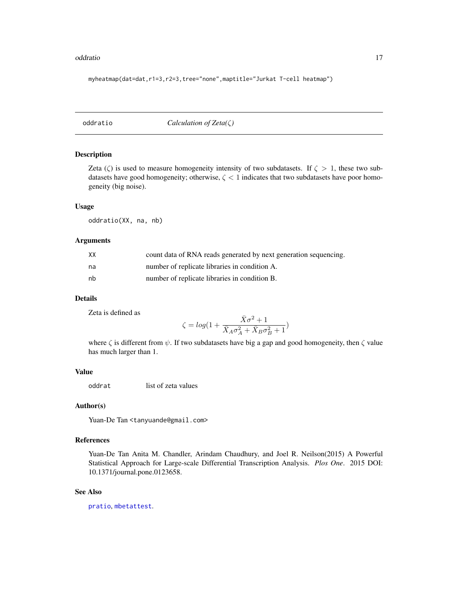#### <span id="page-16-0"></span>oddratio and the contract of the contract of the contract of the contract of the contract of the contract of the contract of the contract of the contract of the contract of the contract of the contract of the contract of t

myheatmap(dat=dat,r1=3,r2=3,tree="none",maptitle="Jurkat T-cell heatmap")

<span id="page-16-1"></span>oddratio *Calculation of Zeta(*ζ*)*

#### Description

Zeta ( $\zeta$ ) is used to measure homogeneity intensity of two subdatasets. If  $\zeta > 1$ , these two subdatasets have good homogeneity; otherwise,  $\zeta$  < 1 indicates that two subdatasets have poor homogeneity (big noise).

#### Usage

oddratio(XX, na, nb)

# Arguments

| XX | count data of RNA reads generated by next generation sequencing. |
|----|------------------------------------------------------------------|
| na | number of replicate libraries in condition A.                    |
| nb | number of replicate libraries in condition B.                    |

# Details

Zeta is defined as

$$
\zeta = log\big(1 + \frac{\bar{X}\sigma^2 + 1}{\bar{X}_A\sigma_A^2 + \bar{X}_B\sigma_B^2 + 1}\big)
$$

where  $\zeta$  is different from  $\psi$ . If two subdatasets have big a gap and good homogeneity, then  $\zeta$  value has much larger than 1.

# Value

oddrat list of zeta values

# Author(s)

Yuan-De Tan <tanyuande@gmail.com>

# References

Yuan-De Tan Anita M. Chandler, Arindam Chaudhury, and Joel R. Neilson(2015) A Powerful Statistical Approach for Large-scale Differential Transcription Analysis. *Plos One*. 2015 DOI: 10.1371/journal.pone.0123658.

# See Also

[pratio](#page-17-1), [mbetattest](#page-10-1).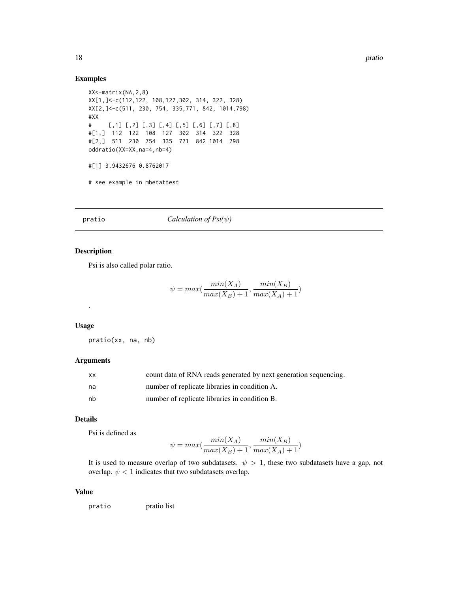# Examples

```
XX<-matrix(NA,2,8)
XX[1,]<-c(112,122, 108,127,302, 314, 322, 328)
XX[2,]<-c(511, 230, 754, 335,771, 842, 1014,798)
#XX
# [,1] [,2] [,3] [,4] [,5] [,6] [,7] [,8]
#[1,] 112 122 108 127 302 314 322 328
#[2,] 511 230 754 335 771 842 1014 798
oddratio(XX=XX,na=4,nb=4)
#[1] 3.9432676 0.8762017
# see example in mbetattest
```
# <span id="page-17-1"></span>pratio *Calculation of Psi(*ψ*)*

# Description

Psi is also called polar ratio.

$$
\psi = max(\frac{min(X_A)}{max(X_B) + 1}, \frac{min(X_B)}{max(X_A) + 1})
$$

#### Usage

.

pratio(xx, na, nb)

# Arguments

| <b>XX</b> | count data of RNA reads generated by next generation sequencing. |
|-----------|------------------------------------------------------------------|
| na        | number of replicate libraries in condition A.                    |
| nb        | number of replicate libraries in condition B.                    |

# Details

Psi is defined as

$$
\psi = \max(\frac{\min(X_A)}{\max(X_B) + 1}, \frac{\min(X_B)}{\max(X_A) + 1})
$$

It is used to measure overlap of two subdatasets.  $\psi > 1$ , these two subdatasets have a gap, not overlap.  $\psi$  < 1 indicates that two subdatasets overlap.

# Value

pratio pratio list

<span id="page-17-0"></span>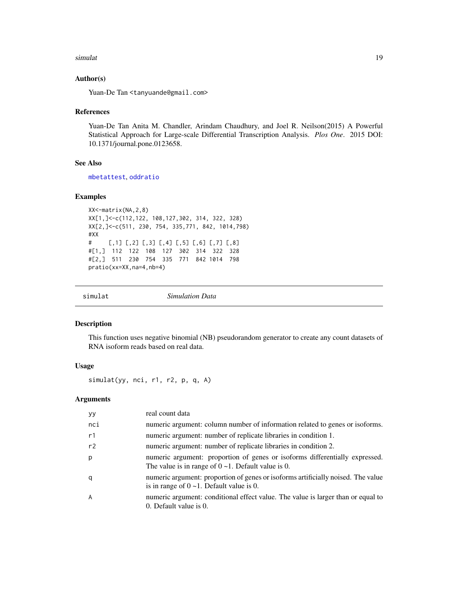#### <span id="page-18-0"></span>simulat the contract of the contract of the contract of the contract of the contract of the contract of the contract of the contract of the contract of the contract of the contract of the contract of the contract of the co

## Author(s)

Yuan-De Tan <tanyuande@gmail.com>

#### References

Yuan-De Tan Anita M. Chandler, Arindam Chaudhury, and Joel R. Neilson(2015) A Powerful Statistical Approach for Large-scale Differential Transcription Analysis. *Plos One*. 2015 DOI: 10.1371/journal.pone.0123658.

# See Also

[mbetattest](#page-10-1), [oddratio](#page-16-1)

# Examples

```
XX<-matrix(NA,2,8)
XX[1,]<-c(112,122, 108,127,302, 314, 322, 328)
XX[2,]<-c(511, 230, 754, 335,771, 842, 1014,798)
#XX
# [,1] [,2] [,3] [,4] [,5] [,6] [,7] [,8]
#[1,] 112 122 108 127 302 314 322 328
#[2,] 511 230 754 335 771 842 1014 798
pratio(xx=XX,na=4,nb=4)
```
<span id="page-18-1"></span>

| $\sim$<br>.<br>$S1$ m $1.$<br>Data |  |
|------------------------------------|--|
|------------------------------------|--|

#### Description

This function uses negative binomial (NB) pseudorandom generator to create any count datasets of RNA isoform reads based on real data.

# Usage

simulat(yy, nci, r1, r2, p, q, A)

| yy.            | real count data                                                                                                                          |
|----------------|------------------------------------------------------------------------------------------------------------------------------------------|
| nci            | numeric argument: column number of information related to genes or isoforms.                                                             |
| r1             | numeric argument: number of replicate libraries in condition 1.                                                                          |
| r2             | numeric argument: number of replicate libraries in condition 2.                                                                          |
| p              | numeric argument: proportion of genes or isoforms differentially expressed.<br>The value is in range of $0 \sim 1$ . Default value is 0. |
| q              | numeric argument: proportion of genes or isoforms artificially noised. The value<br>is in range of $0 \sim 1$ . Default value is 0.      |
| $\overline{A}$ | numeric argument: conditional effect value. The value is larger than or equal to<br>0. Default value is 0.                               |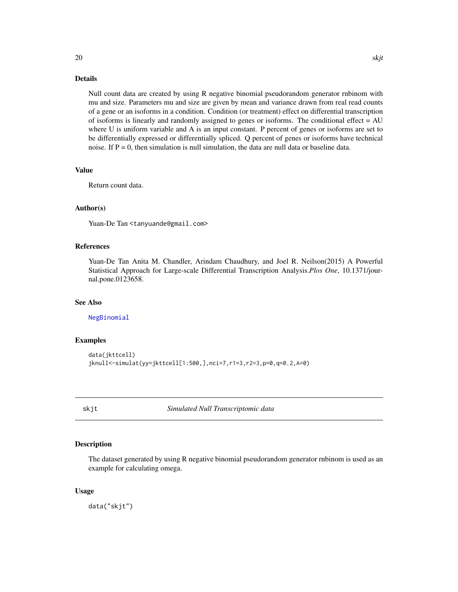<span id="page-19-0"></span>Null count data are created by using R negative binomial pseudorandom generator rnbinom with mu and size. Parameters mu and size are given by mean and variance drawn from real read counts of a gene or an isoforms in a condition. Condition (or treatment) effect on differential transcription of isoforms is linearly and randomly assigned to genes or isoforms. The conditional effect  $= AU$ where U is uniform variable and A is an input constant. P percent of genes or isoforms are set to be differentially expressed or differentially spliced. Q percent of genes or isoforms have technical noise. If  $P = 0$ , then simulation is null simulation, the data are null data or baseline data.

#### Value

Return count data.

# Author(s)

Yuan-De Tan <tanyuande@gmail.com>

# References

Yuan-De Tan Anita M. Chandler, Arindam Chaudhury, and Joel R. Neilson(2015) A Powerful Statistical Approach for Large-scale Differential Transcription Analysis.*Plos One*, 10.1371/journal.pone.0123658.

#### See Also

[NegBinomial](#page-0-0)

#### Examples

```
data(jkttcell)
jknull<-simulat(yy=jkttcell[1:500,],nci=7,r1=3,r2=3,p=0,q=0.2,A=0)
```
skjt *Simulated Null Transcriptomic data*

# Description

The dataset generated by using R negative binomial pseudorandom generator rnbinom is used as an example for calculating omega.

#### Usage

data("skjt")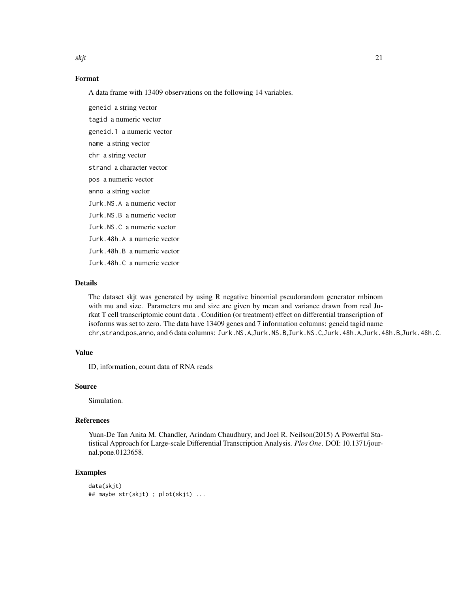skjt te beste beste beste beste beste beste beste beste beste beste beste beste beste beste beste beste beste

# Format

A data frame with 13409 observations on the following 14 variables.

geneid a string vector tagid a numeric vector geneid.1 a numeric vector name a string vector chr a string vector strand a character vector pos a numeric vector anno a string vector Jurk.NS.A a numeric vector Jurk.NS.B a numeric vector Jurk.NS.C a numeric vector Jurk.48h.A a numeric vector Jurk.48h.B a numeric vector Jurk.48h.C a numeric vector

# Details

The dataset skjt was generated by using R negative binomial pseudorandom generator rnbinom with mu and size. Parameters mu and size are given by mean and variance drawn from real Jurkat T cell transcriptomic count data . Condition (or treatment) effect on differential transcription of isoforms was set to zero. The data have 13409 genes and 7 information columns: geneid tagid name chr,strand,pos,anno, and 6 data columns: Jurk.NS.A,Jurk.NS.B,Jurk.NS.C,Jurk.48h.A,Jurk.48h.B,Jurk.48h.C.

#### Value

ID, information, count data of RNA reads

# Source

Simulation.

#### References

Yuan-De Tan Anita M. Chandler, Arindam Chaudhury, and Joel R. Neilson(2015) A Powerful Statistical Approach for Large-scale Differential Transcription Analysis. *Plos One*. DOI: 10.1371/journal.pone.0123658.

# Examples

```
data(skjt)
## maybe str(skjt) ; plot(skjt) ...
```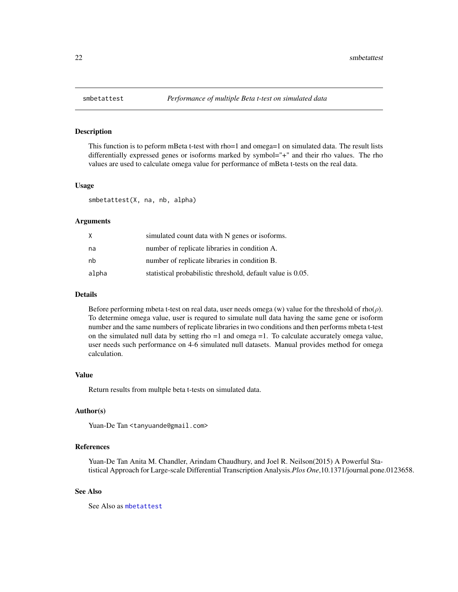<span id="page-21-1"></span><span id="page-21-0"></span>

# **Description**

This function is to peform mBeta t-test with rho=1 and omega=1 on simulated data. The result lists differentially expressed genes or isoforms marked by symbol="+" and their rho values. The rho values are used to calculate omega value for performance of mBeta t-tests on the real data.

#### Usage

smbetattest(X, na, nb, alpha)

# Arguments

| X     | simulated count data with N genes or isoforms.              |
|-------|-------------------------------------------------------------|
| na    | number of replicate libraries in condition A.               |
| nb    | number of replicate libraries in condition B.               |
| alpha | statistical probabilistic threshold, default value is 0.05. |

#### Details

Before performing mbeta t-test on real data, user needs omega (w) value for the threshold of rho( $\rho$ ). To determine omega value, user is requred to simulate null data having the same gene or isoform number and the same numbers of replicate libraries in two conditions and then performs mbeta t-test on the simulated null data by setting rho =1 and omega =1. To calculate accurately omega value, user needs such performance on 4-6 simulated null datasets. Manual provides method for omega calculation.

#### Value

Return results from multple beta t-tests on simulated data.

# Author(s)

Yuan-De Tan <tanyuande@gmail.com>

# References

Yuan-De Tan Anita M. Chandler, Arindam Chaudhury, and Joel R. Neilson(2015) A Powerful Statistical Approach for Large-scale Differential Transcription Analysis.*Plos One*,10.1371/journal.pone.0123658.

#### See Also

See Also as [mbetattest](#page-10-1)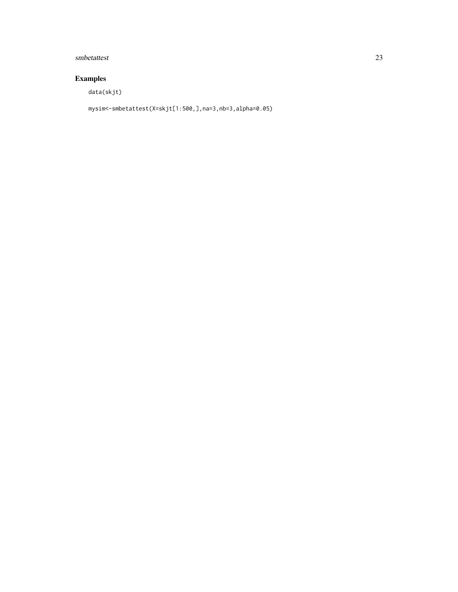# smbetattest 23

# Examples

data(skjt)

mysim<-smbetattest(X=skjt[1:500,],na=3,nb=3,alpha=0.05)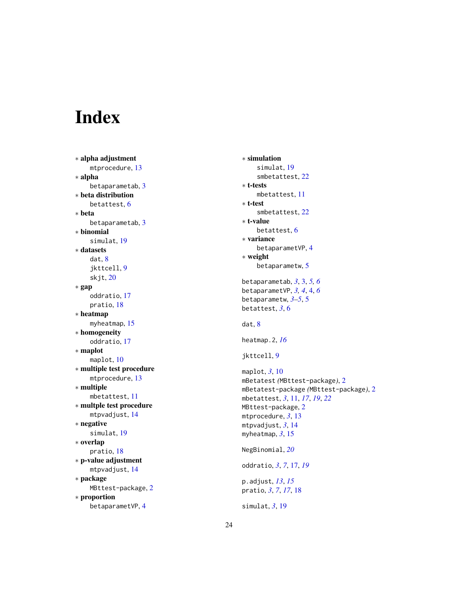# <span id="page-23-0"></span>Index

∗ alpha adjustment mtprocedure, [13](#page-12-0) ∗ alpha betaparametab , [3](#page-2-0) ∗ beta distribution betattest , [6](#page-5-0) ∗ beta betaparametab, [3](#page-2-0) ∗ binomial simulat , [19](#page-18-0) ∗ datasets dat , [8](#page-7-0) jkttcell , [9](#page-8-0) skjt , [20](#page-19-0) ∗ gap oddratio , [17](#page-16-0) pratio , [18](#page-17-0) ∗ heatmap myheatmap , [15](#page-14-0) ∗ homogeneity oddratio , [17](#page-16-0) ∗ maplot maplot , [10](#page-9-0) ∗ multiple test procedure mtprocedure , [13](#page-12-0) ∗ multiple mbetattest , [11](#page-10-0) ∗ multple test procedure mtpvadjust , [14](#page-13-0) ∗ negative simulat , [19](#page-18-0) ∗ overlap pratio , [18](#page-17-0) ∗ p-value adjustment mtpvadjust , [14](#page-13-0) ∗ package MBttest-package, [2](#page-1-0) ∗ proportion betaparametVP , [4](#page-3-0)

```
∗ simulation
     simulat
, 19
     smbetattest
, 22
∗ t-tests
     mbetattest
, 11
∗ t-test
     smbetattest
, 22
∗ t-value
     betattest
,
6
∗ variance
     betaparametVP
,
4
∗ weight
     5
betaparametab
,
3
,
3
,
5
,
6
betaparametVP
,
3
,
4
,
4
,
6
betaparametw
,
3
–
5
,
5
betattest
,
3
,
6
dat
,
8
heatmap.2
, 16
jkttcell
,
9
maplot
,
3
, 10
mBetatest
(MBttest-package
)
,
2
mBetatest-package
(MBttest-package
)
,
2
mbetattest
,
3
, 11
, 17
, 19
, 22
MBttest-package
,
2
mtprocedure
,
3
, 13
mtpvadjust
,
3
, 14
myheatmap
,
3
, 15
NegBinomial
, 20
oddratio
,
3
,
7
, 17
, 19
p.adjust
, 13
, 15
pratio
,
3
,
7
, 17
, 18
simulat
,
3
, 19
```